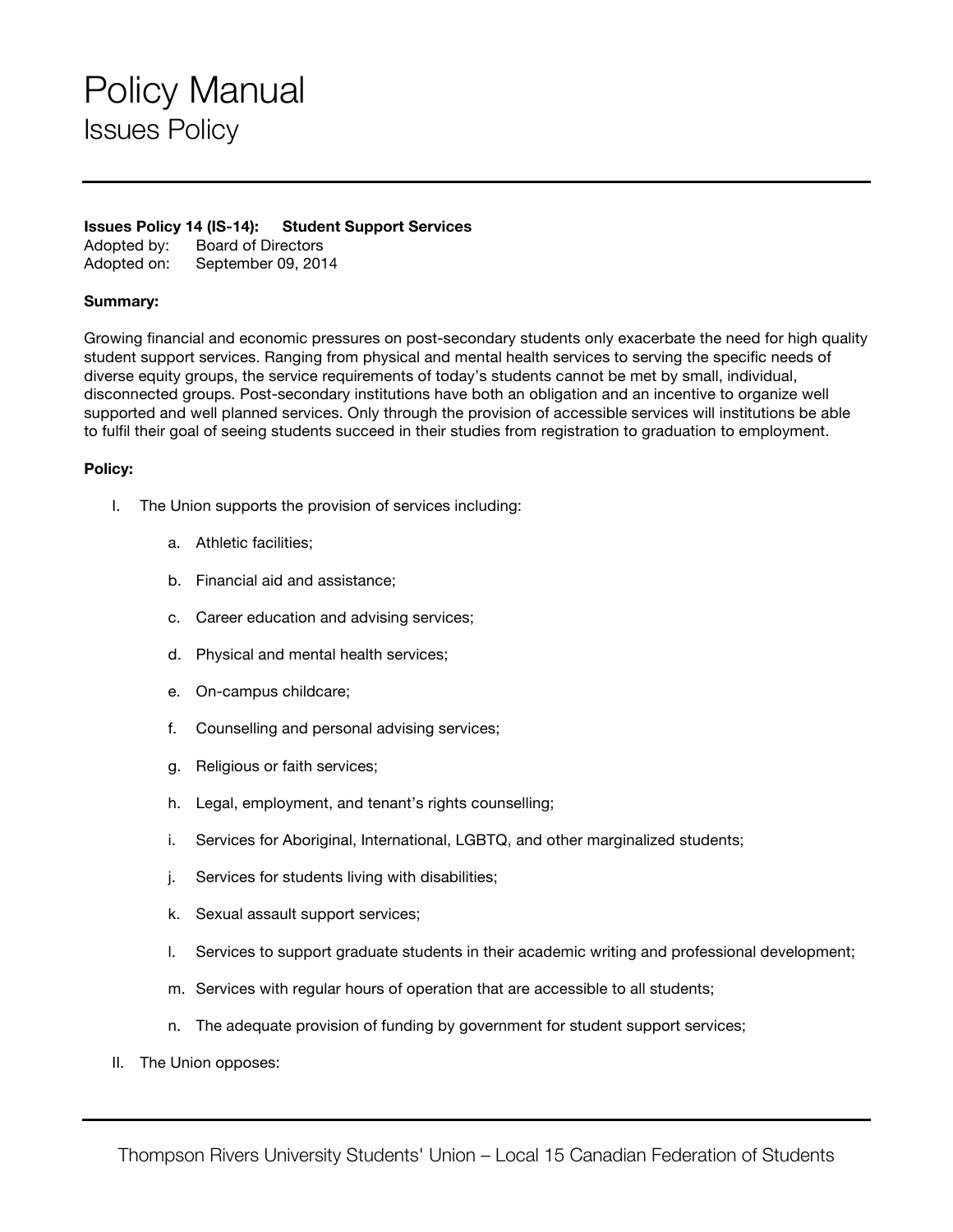# Policy Manual Issues Policy

## **Issues Policy 14 (IS-14): Student Support Services**

Adopted by: Board of Directors Adopted on: September 09, 2014

## **Summary:**

Growing financial and economic pressures on post-secondary students only exacerbate the need for high quality student support services. Ranging from physical and mental health services to serving the specific needs of diverse equity groups, the service requirements of today's students cannot be met by small, individual, disconnected groups. Post-secondary institutions have both an obligation and an incentive to organize well supported and well planned services. Only through the provision of accessible services will institutions be able to fulfil their goal of seeing students succeed in their studies from registration to graduation to employment.

## **Policy:**

- I. The Union supports the provision of services including:
	- a. Athletic facilities;
	- b. Financial aid and assistance;
	- c. Career education and advising services;
	- d. Physical and mental health services;
	- e. On-campus childcare;
	- f. Counselling and personal advising services;
	- g. Religious or faith services;
	- h. Legal, employment, and tenant's rights counselling;
	- i. Services for Aboriginal, International, LGBTQ, and other marginalized students;
	- j. Services for students living with disabilities;
	- k. Sexual assault support services;
	- l. Services to support graduate students in their academic writing and professional development;
	- m. Services with regular hours of operation that are accessible to all students;
	- n. The adequate provision of funding by government for student support services;
- II. The Union opposes: